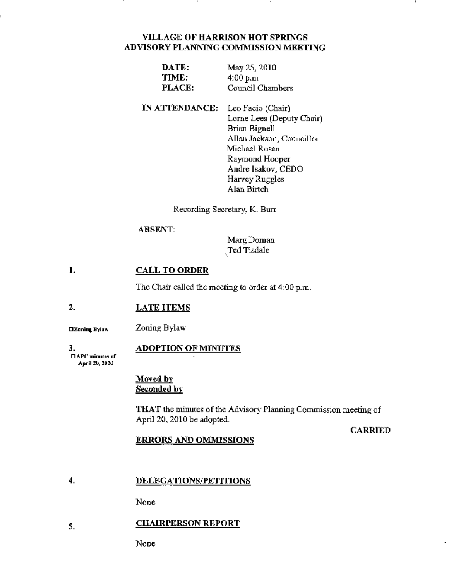# VILLAGE OF HARRISON HOT SPRINGS ADVISORY PLANNlNG COMMISSION MEETING

- ...................

 $\sim$ 

| DATE:  | May 25, 2010     |
|--------|------------------|
| TIME:  | 4:00 p.m.        |
| PLACE: | Council Chambers |

IN ATTENDANCE: Leo Facio (Chair) Lorne Lees (Deputy Chair) Brian Bignell Allan Jackson, Councillor Michael Rosen Raymond Hooper Andre Isakov, CEDO Harvey Ruggles Alan Birtch

Recording Secretary, K. Burr

## ABSENT:

MargDoman ,Ted Tisdale

#### 1. CALL TO ORDER

The Chair called the meeting to order at 4.00 p.m.

#### 2. LATE ITEMS

Zoning Bylaw **ElZoning Bylaw** 

3.  $\Box$ APC minutes of

 $\ldots$ 

## ADOPTION OF MINUTES

April 20, 2010

### Moved by Seconded by

THAT the minutes of the Advisory Planning Commission meeting of April 20, 2010 be adopted.

## **CARRIED**

## ERRORS AND OMMISSIONS

#### 4. DELEGATIONS/PETITIONS

None

#### 5. CHAIRPERSON REPORT

None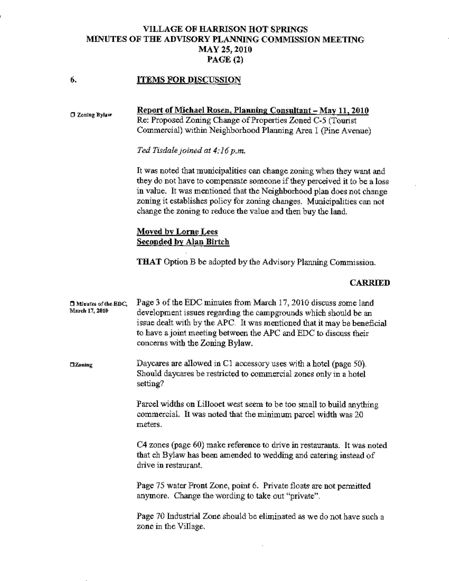# VILLAGE OF HARRISON HOT SPRINGS MINUTES OF THE ADVISORY PLANNING COMMISSION MEETING MAY25,2010 PAGE (2)

#### 6. ITEMS FOR DISCUSSION

D Zoning Bylaw Report of Michael Rosen, Planning Consultant - May 11, 2010 Re: Proposed Zoning Change of Properties Zoned C-5 (Tounst Commercial) within Neighborhood Planning Area 1 (Pine Avenue) *Ted Tisdale Joined at 4:16p.m.* 

> It was noted that municipalities can change zoning when they want and they do not have to compensate someone if they perceived it to be a loss in value. It was mentioned that the Neighborhood plan does not change zoning it establishes policy for zoning changes. Municipalities can not change the zoning to reduce the value and then buy the land.

# Moved by Lome Lees Seeonded by Alan Birtch

THAT Option B be adopted by the Advisory Planning Commission.

## CARRIED

| <b>El Minutes of the EDC.</b><br>March 17, 2010 | Page 3 of the EDC minutes from March 17, 2010 discuss some land<br>development issues regarding the campgrounds which should be an<br>issue dealt with by the APC. It was mentioned that it may be beneficial<br>to have a joint meeting between the APC and EDC to discuss their<br>concerns with the Zoning Bylaw. |
|-------------------------------------------------|----------------------------------------------------------------------------------------------------------------------------------------------------------------------------------------------------------------------------------------------------------------------------------------------------------------------|
| $\square$ Zoning                                | Daycares are allowed in C1 accessory uses with a hotel (page 50).<br>Should daycares be restricted to commercial zones only in a hotel<br>setting?                                                                                                                                                                   |
|                                                 | Parcel widths on Lillooet west seem to be too small to build anything<br>commercial. It was noted that the minimum parcel width was 20<br>meters.                                                                                                                                                                    |
|                                                 | C4 zones (page 60) make reference to drive in restaurants. It was noted<br>that ch Bylaw has been amended to wedding and catering instead of<br>drive in restaurant.                                                                                                                                                 |
|                                                 | Page 75 water Front Zone, point 6. Private floats are not permitted<br>anymore. Change the wording to take out "private".                                                                                                                                                                                            |
|                                                 | Page 70 Industrial Zone should be eliminated as we do not have such a<br>zone in the Village.                                                                                                                                                                                                                        |